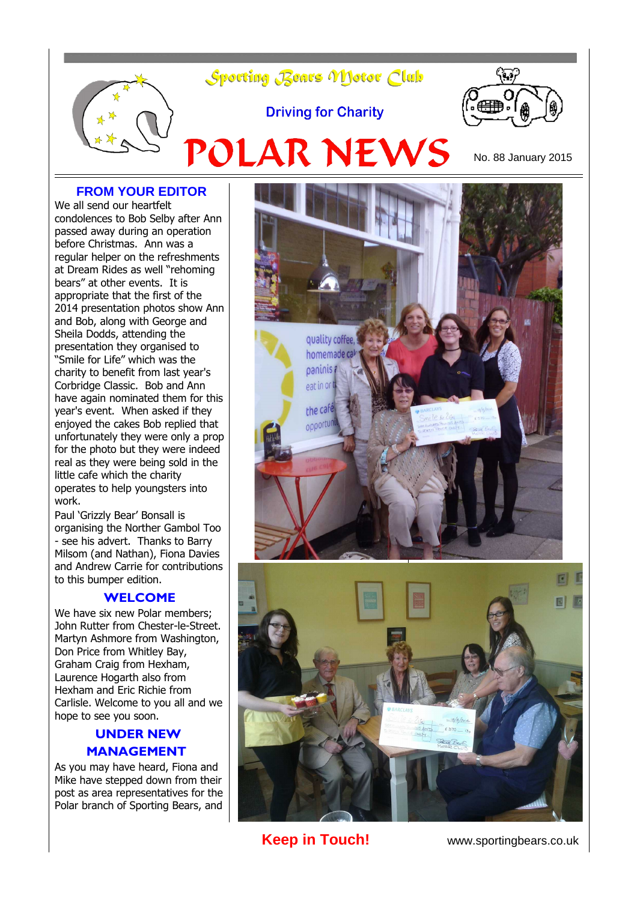

### **FROM YOUR EDITOR**

We all send our heartfelt condolences to Bob Selby after Ann passed away during an operation before Christmas. Ann was a regular helper on the refreshments at Dream Rides as well "rehoming bears" at other events. It is appropriate that the first of the 2014 presentation photos show Ann and Bob, along with George and Sheila Dodds, attending the presentation they organised to "Smile for Life" which was the charity to benefit from last year's Corbridge Classic. Bob and Ann have again nominated them for this year's event. When asked if they enjoyed the cakes Bob replied that unfortunately they were only a prop for the photo but they were indeed real as they were being sold in the little cafe which the charity operates to help youngsters into work.

Paul 'Grizzly Bear' Bonsall is organising the Norther Gambol Too - see his advert. Thanks to Barry Milsom (and Nathan), Fiona Davies and Andrew Carrie for contributions to this bumper edition.

#### **WELCOME**

We have six new Polar members: John Rutter from Chester-le-Street. Martyn Ashmore from Washington, Don Price from Whitley Bay, Graham Craig from Hexham, Laurence Hogarth also from Hexham and Eric Richie from Carlisle. Welcome to you all and we hope to see you soon.

## **UNDER NEW MANAGEMENT**

As you may have heard, Fiona and Mike have stepped down from their post as area representatives for the Polar branch of Sporting Bears, and



**Keep in Touch!** www.sportingbears.co.uk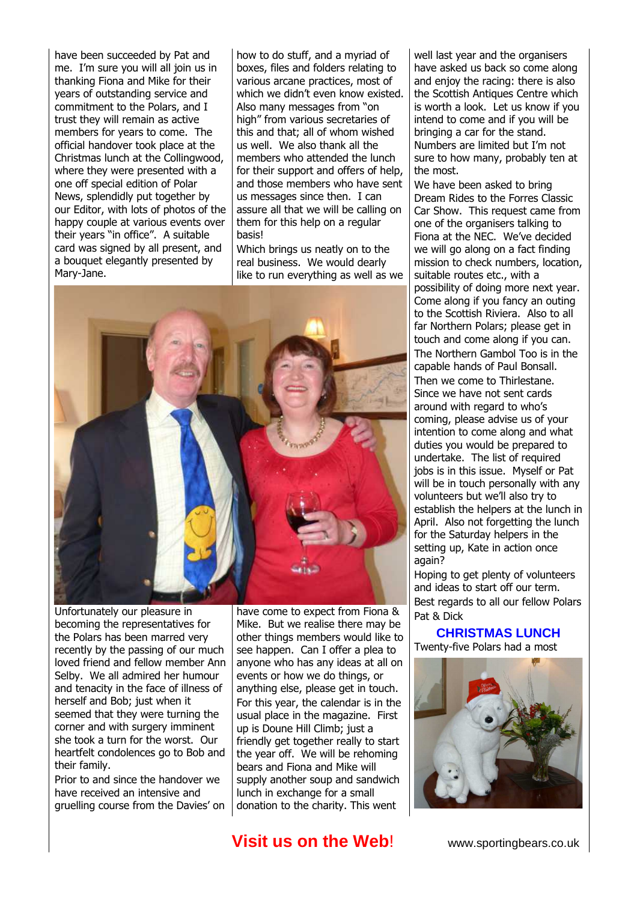have been succeeded by Pat and me. I'm sure you will all join us in thanking Fiona and Mike for their years of outstanding service and commitment to the Polars, and I trust they will remain as active members for years to come. The official handover took place at the Christmas lunch at the Collingwood, where they were presented with a one off special edition of Polar News, splendidly put together by our Editor, with lots of photos of the happy couple at various events over their years "in office". A suitable card was signed by all present, and a bouquet elegantly presented by Mary-Jane.

how to do stuff, and a myriad of boxes, files and folders relating to various arcane practices, most of which we didn't even know existed. Also many messages from "on high" from various secretaries of this and that; all of whom wished us well. We also thank all the members who attended the lunch for their support and offers of help, and those members who have sent us messages since then. I can assure all that we will be calling on them for this help on a regular basis!

Which brings us neatly on to the real business. We would dearly like to run everything as well as we



Unfortunately our pleasure in becoming the representatives for the Polars has been marred very recently by the passing of our much loved friend and fellow member Ann Selby. We all admired her humour and tenacity in the face of illness of herself and Bob; just when it seemed that they were turning the corner and with surgery imminent she took a turn for the worst. Our heartfelt condolences go to Bob and their family.

Prior to and since the handover we have received an intensive and gruelling course from the Davies' on have come to expect from Fiona & Mike. But we realise there may be other things members would like to see happen. Can I offer a plea to anyone who has any ideas at all on events or how we do things, or anything else, please get in touch. For this year, the calendar is in the usual place in the magazine. First up is Doune Hill Climb; just a friendly get together really to start the year off. We will be rehoming bears and Fiona and Mike will supply another soup and sandwich lunch in exchange for a small donation to the charity. This went

well last year and the organisers have asked us back so come along and enjoy the racing: there is also the Scottish Antiques Centre which is worth a look. Let us know if you intend to come and if you will be bringing a car for the stand. Numbers are limited but I'm not sure to how many, probably ten at the most.

We have been asked to bring Dream Rides to the Forres Classic Car Show. This request came from one of the organisers talking to Fiona at the NEC. We've decided we will go along on a fact finding mission to check numbers, location, suitable routes etc., with a possibility of doing more next year. Come along if you fancy an outing to the Scottish Riviera. Also to all far Northern Polars; please get in touch and come along if you can. The Northern Gambol Too is in the capable hands of Paul Bonsall. Then we come to Thirlestane. Since we have not sent cards around with regard to who's coming, please advise us of your intention to come along and what duties you would be prepared to undertake. The list of required jobs is in this issue. Myself or Pat will be in touch personally with any volunteers but we'll also try to establish the helpers at the lunch in April. Also not forgetting the lunch for the Saturday helpers in the setting up, Kate in action once again?

Hoping to get plenty of volunteers and ideas to start off our term. Best regards to all our fellow Polars Pat & Dick

**CHRISTMAS LUNCH** Twenty-five Polars had a most



## **Visit us on the Web!** www.sportingbears.co.uk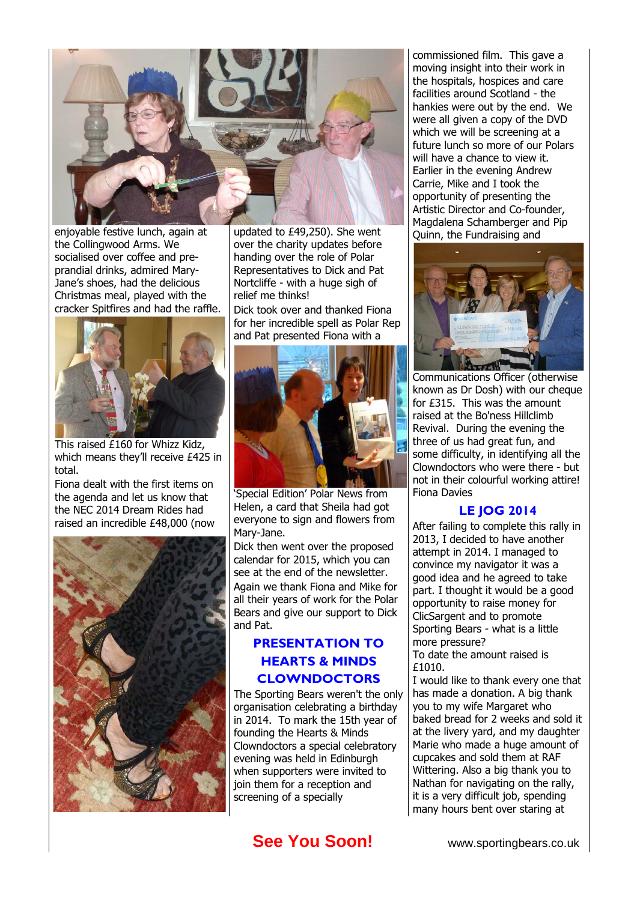

enjoyable festive lunch, again at the Collingwood Arms. We socialised over coffee and preprandial drinks, admired Mary-Jane's shoes, had the delicious Christmas meal, played with the cracker Spitfires and had the raffle.



This raised £160 for Whizz Kidz, which means they'll receive £425 in total.

Fiona dealt with the first items on the agenda and let us know that the NEC 2014 Dream Rides had raised an incredible £48,000 (now



updated to £49,250). She went over the charity updates before handing over the role of Polar Representatives to Dick and Pat Nortcliffe - with a huge sigh of relief me thinks!

Dick took over and thanked Fiona for her incredible spell as Polar Rep and Pat presented Fiona with a



'Special Edition' Polar News from Helen, a card that Sheila had got everyone to sign and flowers from Mary-Jane.

Dick then went over the proposed calendar for 2015, which you can see at the end of the newsletter.

Again we thank Fiona and Mike for all their years of work for the Polar Bears and give our support to Dick and Pat.

## **PRESENTATION TO HEARTS & MINDS CLOWNDOCTORS**

The Sporting Bears weren't the only organisation celebrating a birthday in 2014. To mark the 15th year of founding the Hearts & Minds Clowndoctors a special celebratory evening was held in Edinburgh when supporters were invited to join them for a reception and screening of a specially

commissioned film. This gave a moving insight into their work in the hospitals, hospices and care facilities around Scotland - the hankies were out by the end. We were all given a copy of the DVD which we will be screening at a future lunch so more of our Polars will have a chance to view it. Earlier in the evening Andrew Carrie, Mike and I took the opportunity of presenting the Artistic Director and Co-founder, Magdalena Schamberger and Pip Quinn, the Fundraising and



Communications Officer (otherwise known as Dr Dosh) with our cheque for £315. This was the amount raised at the Bo'ness Hillclimb Revival. During the evening the three of us had great fun, and some difficulty, in identifying all the Clowndoctors who were there - but not in their colourful working attire! Fiona Davies

### **LE JOG 2014**

After failing to complete this rally in 2013, I decided to have another attempt in 2014. I managed to convince my navigator it was a good idea and he agreed to take part. I thought it would be a good opportunity to raise money for ClicSargent and to promote Sporting Bears - what is a little more pressure?

To date the amount raised is £1010.

I would like to thank every one that has made a donation. A big thank you to my wife Margaret who baked bread for 2 weeks and sold it at the livery yard, and my daughter Marie who made a huge amount of cupcakes and sold them at RAF Wittering. Also a big thank you to Nathan for navigating on the rally, it is a very difficult job, spending many hours bent over staring at

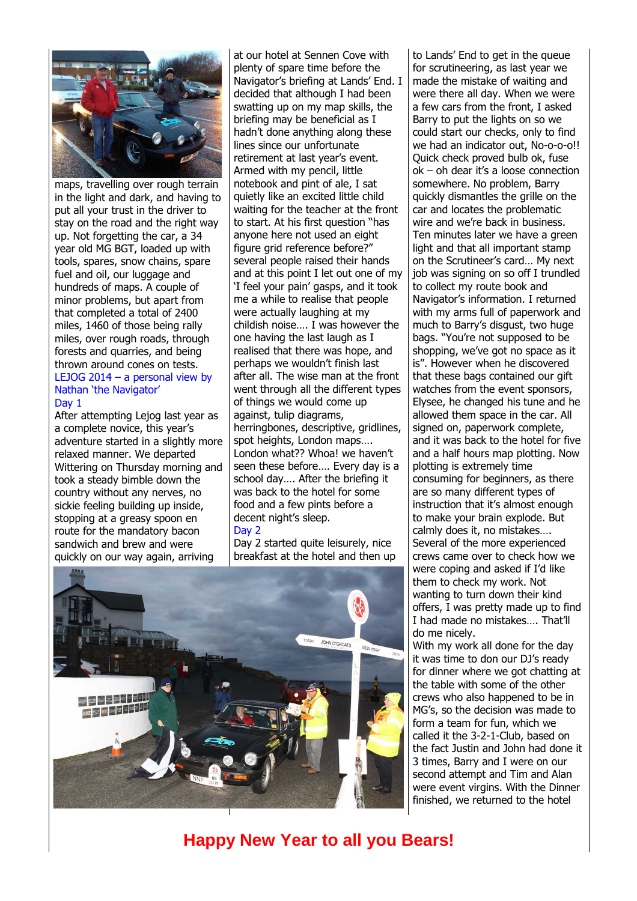

maps, travelling over rough terrain in the light and dark, and having to put all your trust in the driver to stay on the road and the right way up. Not forgetting the car, a 34 year old MG BGT, loaded up with tools, spares, snow chains, spare fuel and oil, our luggage and hundreds of maps. A couple of minor problems, but apart from that completed a total of 2400 miles, 1460 of those being rally miles, over rough roads, through forests and quarries, and being thrown around cones on tests. LEJOG 2014 – a personal view by Nathan 'the Navigator' Day 1

After attempting Lejog last year as a complete novice, this year's adventure started in a slightly more relaxed manner. We departed Wittering on Thursday morning and took a steady bimble down the country without any nerves, no sickie feeling building up inside, stopping at a greasy spoon en route for the mandatory bacon sandwich and brew and were quickly on our way again, arriving

at our hotel at Sennen Cove with plenty of spare time before the Navigator's briefing at Lands' End. I decided that although I had been swatting up on my map skills, the briefing may be beneficial as I hadn't done anything along these lines since our unfortunate retirement at last year's event. Armed with my pencil, little notebook and pint of ale, I sat quietly like an excited little child waiting for the teacher at the front to start. At his first question "has anyone here not used an eight figure grid reference before?" several people raised their hands and at this point I let out one of my 'I feel your pain' gasps, and it took me a while to realise that people were actually laughing at my childish noise…. I was however the one having the last laugh as I realised that there was hope, and perhaps we wouldn't finish last after all. The wise man at the front went through all the different types of things we would come up against, tulip diagrams, herringbones, descriptive, gridlines, spot heights, London maps…. London what?? Whoa! we haven't seen these before…. Every day is a school day…. After the briefing it was back to the hotel for some food and a few pints before a decent night's sleep.

#### Day 2

Day 2 started quite leisurely, nice breakfast at the hotel and then up



to Lands' End to get in the queue for scrutineering, as last year we made the mistake of waiting and were there all day. When we were a few cars from the front, I asked Barry to put the lights on so we could start our checks, only to find we had an indicator out, No-o-o-o!! Quick check proved bulb ok, fuse ok – oh dear it's a loose connection somewhere. No problem, Barry quickly dismantles the grille on the car and locates the problematic wire and we're back in business. Ten minutes later we have a green light and that all important stamp on the Scrutineer's card… My next job was signing on so off I trundled to collect my route book and Navigator's information. I returned with my arms full of paperwork and much to Barry's disgust, two huge bags. "You're not supposed to be shopping, we've got no space as it is". However when he discovered that these bags contained our gift watches from the event sponsors, Elysee, he changed his tune and he allowed them space in the car. All signed on, paperwork complete, and it was back to the hotel for five and a half hours map plotting. Now plotting is extremely time consuming for beginners, as there are so many different types of instruction that it's almost enough to make your brain explode. But calmly does it, no mistakes…. Several of the more experienced crews came over to check how we were coping and asked if I'd like them to check my work. Not wanting to turn down their kind offers, I was pretty made up to find I had made no mistakes…. That'll do me nicely.

With my work all done for the day it was time to don our DJ's ready for dinner where we got chatting at the table with some of the other crews who also happened to be in MG's, so the decision was made to form a team for fun, which we called it the 3-2-1-Club, based on the fact Justin and John had done it 3 times, Barry and I were on our second attempt and Tim and Alan were event virgins. With the Dinner finished, we returned to the hotel

# **Happy New Year to all you Bears!**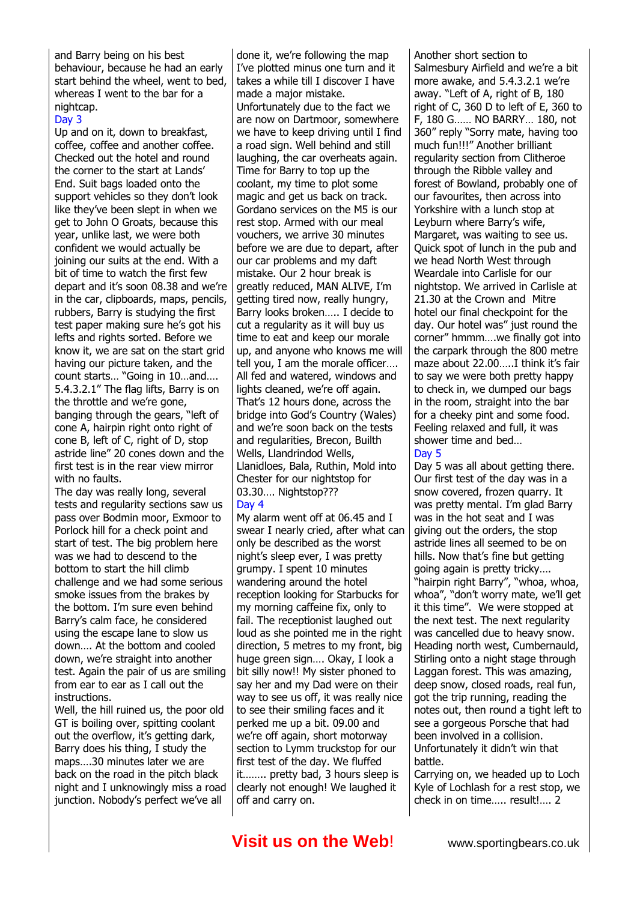#### and Barry being on his best behaviour, because he had an early start behind the wheel, went to bed, whereas I went to the bar for a nightcap.

#### Day 3

Up and on it, down to breakfast, coffee, coffee and another coffee. Checked out the hotel and round the corner to the start at Lands' End. Suit bags loaded onto the support vehicles so they don't look like they've been slept in when we get to John O Groats, because this year, unlike last, we were both confident we would actually be joining our suits at the end. With a bit of time to watch the first few depart and it's soon 08.38 and we're in the car, clipboards, maps, pencils, rubbers, Barry is studying the first test paper making sure he's got his lefts and rights sorted. Before we know it, we are sat on the start grid having our picture taken, and the count starts… "Going in 10…and…. 5.4.3.2.1" The flag lifts, Barry is on the throttle and we're gone, banging through the gears, "left of cone A, hairpin right onto right of cone B, left of C, right of D, stop astride line" 20 cones down and the first test is in the rear view mirror with no faults.

The day was really long, several tests and regularity sections saw us pass over Bodmin moor, Exmoor to Porlock hill for a check point and start of test. The big problem here was we had to descend to the bottom to start the hill climb challenge and we had some serious smoke issues from the brakes by the bottom. I'm sure even behind Barry's calm face, he considered using the escape lane to slow us down…. At the bottom and cooled down, we're straight into another test. Again the pair of us are smiling from ear to ear as I call out the instructions.

Well, the hill ruined us, the poor old GT is boiling over, spitting coolant out the overflow, it's getting dark, Barry does his thing, I study the maps….30 minutes later we are back on the road in the pitch black night and I unknowingly miss a road junction. Nobody's perfect we've all

done it, we're following the map I've plotted minus one turn and it takes a while till I discover I have made a major mistake. Unfortunately due to the fact we are now on Dartmoor, somewhere we have to keep driving until I find a road sign. Well behind and still laughing, the car overheats again. Time for Barry to top up the coolant, my time to plot some magic and get us back on track. Gordano services on the M5 is our rest stop. Armed with our meal vouchers, we arrive 30 minutes before we are due to depart, after our car problems and my daft mistake. Our 2 hour break is greatly reduced, MAN ALIVE, I'm getting tired now, really hungry, Barry looks broken….. I decide to cut a regularity as it will buy us time to eat and keep our morale up, and anyone who knows me will tell you, I am the morale officer…. All fed and watered, windows and lights cleaned, we're off again. That's 12 hours done, across the bridge into God's Country (Wales) and we're soon back on the tests and regularities, Brecon, Builth Wells, Llandrindod Wells, Llanidloes, Bala, Ruthin, Mold into Chester for our nightstop for 03.30…. Nightstop??? Day 4

My alarm went off at 06.45 and I swear I nearly cried, after what can only be described as the worst night's sleep ever, I was pretty grumpy. I spent 10 minutes wandering around the hotel reception looking for Starbucks for my morning caffeine fix, only to fail. The receptionist laughed out loud as she pointed me in the right direction, 5 metres to my front, big huge green sign…. Okay, I look a bit silly now!! My sister phoned to say her and my Dad were on their way to see us off, it was really nice to see their smiling faces and it perked me up a bit. 09.00 and we're off again, short motorway section to Lymm truckstop for our first test of the day. We fluffed it…….. pretty bad, 3 hours sleep is clearly not enough! We laughed it off and carry on.

Another short section to Salmesbury Airfield and we're a bit more awake, and 5.4.3.2.1 we're away. "Left of A, right of B, 180 right of C, 360 D to left of E, 360 to F, 180 G…… NO BARRY… 180, not 360" reply "Sorry mate, having too much fun!!!" Another brilliant regularity section from Clitheroe through the Ribble valley and forest of Bowland, probably one of our favourites, then across into Yorkshire with a lunch stop at Leyburn where Barry's wife, Margaret, was waiting to see us. Quick spot of lunch in the pub and we head North West through Weardale into Carlisle for our nightstop. We arrived in Carlisle at 21.30 at the Crown and Mitre hotel our final checkpoint for the day. Our hotel was" just round the corner" hmmm….we finally got into the carpark through the 800 metre maze about 22.00.....I think it's fair to say we were both pretty happy to check in, we dumped our bags in the room, straight into the bar for a cheeky pint and some food. Feeling relaxed and full, it was shower time and bed…

#### Day 5

Day 5 was all about getting there. Our first test of the day was in a snow covered, frozen quarry. It was pretty mental. I'm glad Barry was in the hot seat and I was giving out the orders, the stop astride lines all seemed to be on hills. Now that's fine but getting going again is pretty tricky…. "hairpin right Barry", "whoa, whoa, whoa", "don't worry mate, we'll get it this time". We were stopped at the next test. The next regularity was cancelled due to heavy snow. Heading north west, Cumbernauld, Stirling onto a night stage through Laggan forest. This was amazing, deep snow, closed roads, real fun, got the trip running, reading the notes out, then round a tight left to see a gorgeous Porsche that had been involved in a collision. Unfortunately it didn't win that battle.

Carrying on, we headed up to Loch Kyle of Lochlash for a rest stop, we check in on time….. result!…. 2

## **Visit us on the Web!** www.sportingbears.co.uk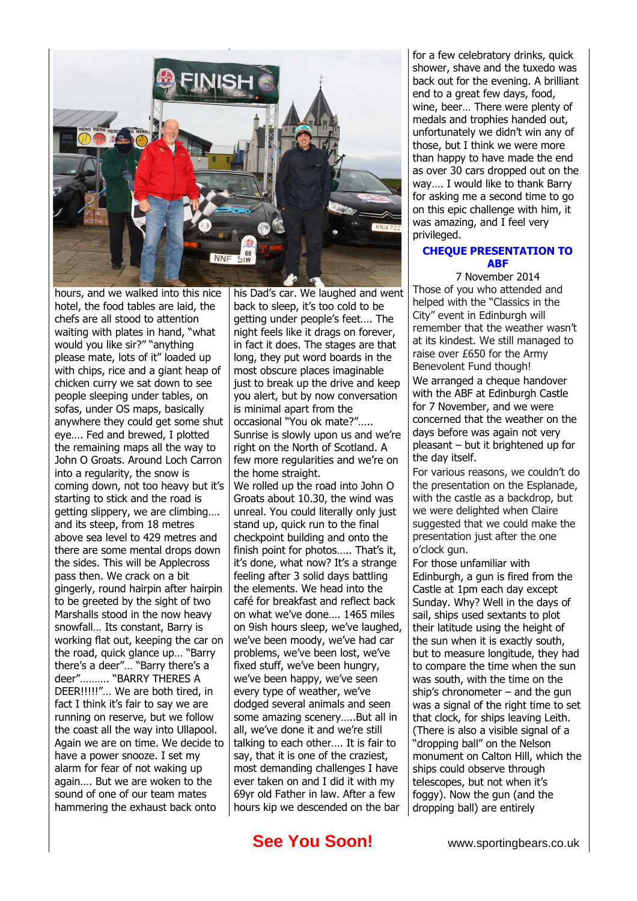

hours, and we walked into this nice hotel, the food tables are laid, the chefs are all stood to attention waiting with plates in hand, "what would you like sir?" "anything please mate, lots of it" loaded up with chips, rice and a giant heap of chicken curry we sat down to see people sleeping under tables, on sofas, under OS maps, basically anywhere they could get some shut eye…. Fed and brewed, I plotted the remaining maps all the way to John O Groats. Around Loch Carron into a regularity, the snow is coming down, not too heavy but it's starting to stick and the road is getting slippery, we are climbing…. and its steep, from 18 metres above sea level to 429 metres and there are some mental drops down the sides. This will be Applecross pass then. We crack on a bit gingerly, round hairpin after hairpin to be greeted by the sight of two Marshalls stood in the now heavy snowfall… Its constant, Barry is working flat out, keeping the car on the road, quick glance up… "Barry there's a deer"… "Barry there's a deer"………. "BARRY THERES A DEER!!!!!"… We are both tired, in fact I think it's fair to say we are running on reserve, but we follow the coast all the way into Ullapool. Again we are on time. We decide to have a power snooze. I set my alarm for fear of not waking up again…. But we are woken to the sound of one of our team mates hammering the exhaust back onto

his Dad's car. We laughed and went back to sleep, it's too cold to be getting under people's feet…. The night feels like it drags on forever, in fact it does. The stages are that long, they put word boards in the most obscure places imaginable just to break up the drive and keep you alert, but by now conversation is minimal apart from the occasional "You ok mate?"….. Sunrise is slowly upon us and we're right on the North of Scotland. A few more regularities and we're on the home straight. We rolled up the road into John O Groats about 10.30, the wind was unreal. You could literally only just stand up, quick run to the final checkpoint building and onto the finish point for photos..... That's it, it's done, what now? It's a strange feeling after 3 solid days battling the elements. We head into the café for breakfast and reflect back on what we've done…. 1465 miles on 9ish hours sleep, we've laughed, we've been moody, we've had car problems, we've been lost, we've fixed stuff, we've been hungry, we've been happy, we've seen every type of weather, we've dodged several animals and seen some amazing scenery…..But all in all, we've done it and we're still talking to each other…. It is fair to say, that it is one of the craziest, most demanding challenges I have ever taken on and I did it with my 69yr old Father in law. After a few hours kip we descended on the bar

for a few celebratory drinks, quick shower, shave and the tuxedo was back out for the evening. A brilliant end to a great few days, food, wine, beer… There were plenty of medals and trophies handed out, unfortunately we didn't win any of those, but I think we were more than happy to have made the end as over 30 cars dropped out on the way…. I would like to thank Barry for asking me a second time to go on this epic challenge with him, it was amazing, and I feel very privileged.

#### **CHEQUE PRESENTATION TO ABF**

7 November 2014 Those of you who attended and helped with the "Classics in the City" event in Edinburgh will remember that the weather wasn't at its kindest. We still managed to raise over £650 for the Army Benevolent Fund though! We arranged a cheque handover with the ABF at Edinburgh Castle for 7 November, and we were concerned that the weather on the days before was again not very pleasant – but it brightened up for the day itself.

For various reasons, we couldn't do the presentation on the Esplanade, with the castle as a backdrop, but we were delighted when Claire suggested that we could make the presentation just after the one o'clock gun.

For those unfamiliar with Edinburgh, a gun is fired from the Castle at 1pm [each day except](mailto:ysy705@aol.com) Sunday. Why? Well in the days of sail, ships used sextants to plot their latitude using the height of the sun when it is exactly south, but to measure longitude, they had to compare the time when the sun was south, with the time on the ship's chronometer  $-$  and the gun was a signal of the right time to set that clock, for ships leaving Leith. (There is also a visible signal of a "dropping ball" on the Nelson monument on Calton Hill, which the ships could observe through telescopes, but not when it's foggy). Now the gun (and the dropping ball) are entirely